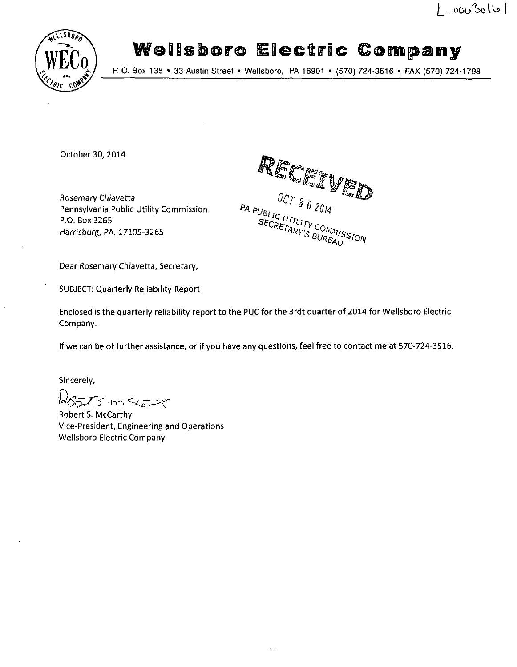

# **Wellsboro Electric Company**

£./ P. 0. Box 138 • 33 Austin Street • Wellsboro, PA 16901 - (570) 724-3516 • FAX (570) 724-1798

October 30, 2014

Rosemary Chiavetta Pennsylvania Public Utility Commission P.O. Box 3265 Harrisburg, PA. 17105-3265

RECTIVED **UBLIC UTILITY COMMIS**<br>SECRETARY'S BUREAU

Dear Rosemary Chiavetta, Secretary,

SUBJECT: Quarterly Reliability Report

Enclosed is the quarterly reliability report to the PUC for the 3rdt quarter of 2014 for Wellsboro Electric Company.

If we can be of further assistance, or if you have any questions, feel free to contact me at 570-724-3516.

Sincerely,

 $d\delta$ 

Robert S. McCarthy Vice-President, Engineering and Operations Wellsboro Electric Company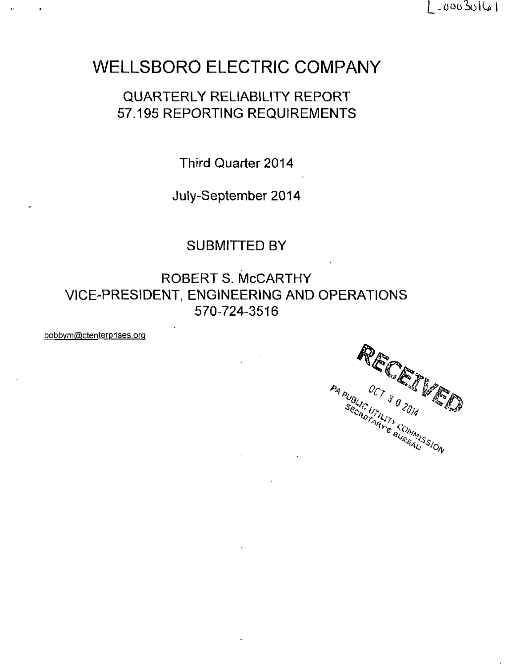$1 - 0003016$ 

## **WELLSBORO ELECTRIC COMPANY**

### QUARTERLY RELIABILITY REPORT 57.195 REPORTING REQUIREMENTS

Third Quarter 2014

July-September 2014

### SUBMITTED BY

ROBERT S. McCARTHY VICE-PRESIDENT, ENGINEERING AND OPERATIONS 570-724-3516

bobbvm@ctenterprises.orq

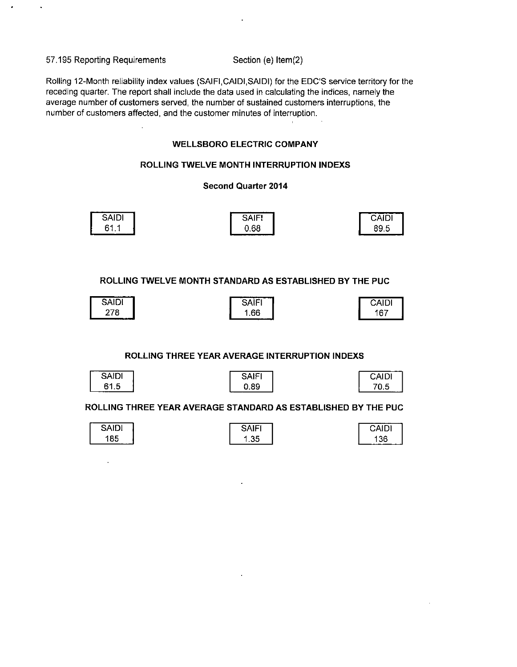57.195 Reporting Requirements Section (e) Item(2)

Rolling 12-Month reliability index values (SAIFI, CAIDI, SAIDI) for the EDC'S service territory for the receding quarter. The report shall include the data used in calculating the indices, namely the average number of customers served, the number of sustained customers interruptions, the number of customers affected, and the customer minutes of interruption.

#### **WELLSBORO ELECTRIC COMPANY**

#### **ROLLING TWELVE MONTH INTERRUPTION INDEXS**

#### **Second Quarter 2014**

| ----<br><b>SAIDI</b>    | . <u>.</u><br>--<br><b>SAIEI</b><br>זורש | CAIDI |
|-------------------------|------------------------------------------|-------|
| 61<br>×.<br><b>UI.I</b> | 0.68                                     | 89.5  |

**ROLLING TWELVE MONTH STANDARD AS ESTABLISHED BY THE PUC** 

| SAIDI | _______<br>$\sim$<br>. .<br>OAIL | <b>CAIDI</b> |
|-------|----------------------------------|--------------|
| 278   | .66<br>-----                     | 167<br>vı    |

#### **ROLLING THREE YEAR AVERAGE INTERRUPTION INDEXS**

| <b>CAIN'</b><br>JAIU!               | <b>CAITI</b><br>,,,, | <b>CAID!</b>  |
|-------------------------------------|----------------------|---------------|
| $\bullet$<br>. .<br>ס.ו<br>o<br>--- | ാറ<br>บ. 89          | u.u<br>------ |

**ROLLING THREE YEAR AVERAGE STANDARD AS ESTABLISHED BY THE PUC** 

| $\overline{\phantom{0}}$<br><b>DAILIL</b> | .<br>. –<br>.<br>-<br>ັ<br>w | ____<br>----<br>$\overline{a}$<br>ישורש |
|-------------------------------------------|------------------------------|-----------------------------------------|
| 185<br>_ _ _                              | .35                          | 136                                     |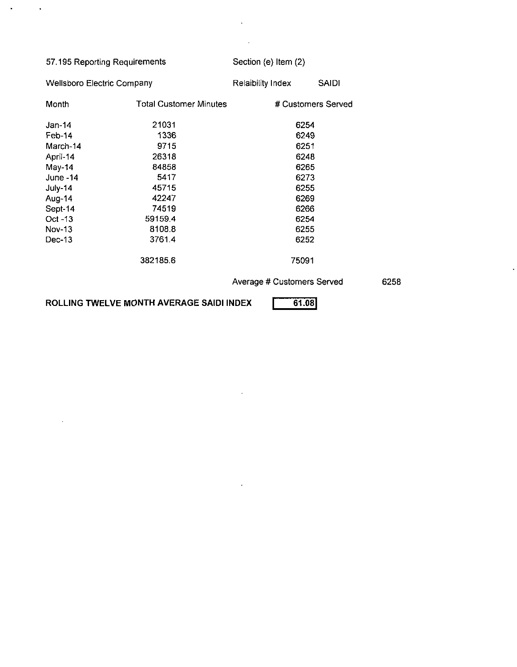| 57.195 Reporting Requirements          |          | Section (e) Item (2)       |              |  |
|----------------------------------------|----------|----------------------------|--------------|--|
| <b>Wellsboro Electric Company</b>      |          | Relaibility Index          | <b>SAIDI</b> |  |
| <b>Total Customer Minutes</b><br>Month |          | # Customers Served         |              |  |
| $Jan-14$                               | 21031    | 6254                       |              |  |
| Feb-14                                 | 1336     | 6249                       |              |  |
| March-14                               | 9715     | 6251                       |              |  |
| April-14                               | 26318    | 6248                       |              |  |
| May-14<br>84858                        |          | 6265                       |              |  |
| June $-14$<br>5417                     |          | 6273                       |              |  |
| July-14                                | 45715    | 6255                       |              |  |
| Aug-14                                 | 42247    | 6269                       |              |  |
| Sept-14                                | 74519    | 6266                       |              |  |
| $Oct - 13$                             | 59159.4  | 6254                       |              |  |
| <b>Nov-13</b>                          | 8108.8   | 6255                       |              |  |
| $Dec-13$                               | 3761.4   | 6252                       |              |  |
|                                        | 382185.6 | 75091                      |              |  |
|                                        |          | Average # Customers Served |              |  |

 $\ddot{\phantom{0}}$ 

 $\mathbb{Z}$ 

 $\ddot{\phantom{a}}$ 

6258

 $\ddot{\phantom{a}}$ 

ROLLING TWELVE MONTH AVERAGE SAIDI INDEX **1998** 

 $\sim 10^{-11}$ 

 $\sim 10$ 

 $\sim$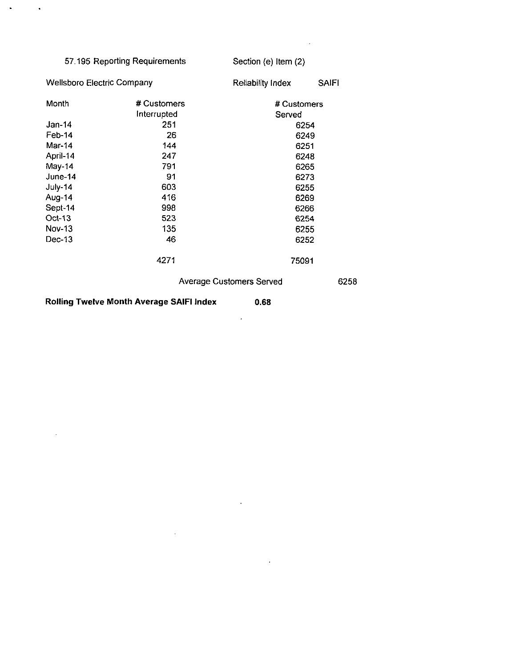| 57.195 Reporting Requirements     |             | Section (e) Item (2)            |              |
|-----------------------------------|-------------|---------------------------------|--------------|
| <b>Wellsboro Electric Company</b> |             | Reliability Index               | <b>SAIFI</b> |
| Month                             | # Customers | # Customers                     |              |
|                                   | Interrupted | Served                          |              |
| Jan-14                            | 251         | 6254                            |              |
| $Feb-14$                          | 26          | 6249                            |              |
| Mar-14<br>144<br>6251             |             |                                 |              |
| April-14<br>247<br>6248           |             |                                 |              |
| May-14<br>791                     |             | 6265                            |              |
| June-14<br>91                     |             | 6273                            |              |
| July-14<br>603<br>6255            |             |                                 |              |
| Aug-14                            | 416         | 6269                            |              |
| Sept-14                           | 998         | 6266                            |              |
| Oct-13                            | 523         | 6254                            |              |
| Nov-13                            | 135         | 6255                            |              |
| Dec-13                            | 46          | 6252                            |              |
|                                   | 4271        | 75091                           |              |
|                                   |             | <b>Average Customers Served</b> | 6258         |

 $\mathbb{Z}$ 

 $\bar{\beta}$ 

 $\sim$   $\sim$ 

 $\mathcal{A}^{\mathcal{A}}$ 

**Rolling Twelve Month Average SAIFI Index 0.68** 

 $\sim 10^{-11}$ 

 $\mathbf{A}^{(1)}$ 

 $\sim$   $\sim$ 

 $\sim$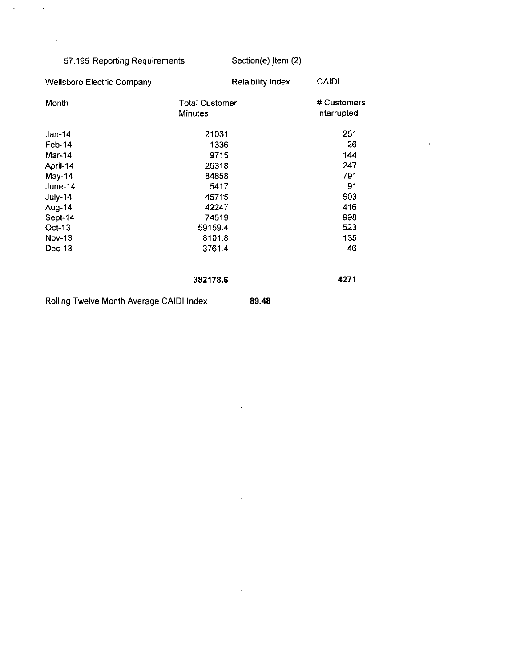### 57.195 Reporting Requirements Section(e) Item (2)

 $\mathbf{v}$ 

 $\ddot{\phantom{1}}$ 

 $\hat{\mathcal{A}}$ 

 $\Delta$ 

 $\bar{\mathcal{A}}$ 

 $\overline{a}$ 

| <b>Wellsboro Electric Company</b>        | <b>Relaibility Index</b>                | <b>CAIDI</b>               |
|------------------------------------------|-----------------------------------------|----------------------------|
| Month                                    | <b>Total Customer</b><br><b>Minutes</b> | # Customers<br>Interrupted |
| Jan-14                                   | 21031                                   | 251                        |
| Feb-14                                   | 1336                                    | 26                         |
| $Mar-14$                                 | 9715                                    | 144                        |
| April-14                                 | 26318                                   | 247                        |
| May-14                                   | 84858                                   | 791                        |
| June-14                                  | 5417                                    | 91                         |
| July-14                                  | 45715                                   | 603                        |
| Aug-14                                   | 42247                                   | 416                        |
| Sept-14                                  | 74519                                   | 998                        |
| Oct-13                                   | 59159.4                                 | 523                        |
| <b>Nov-13</b>                            | 8101.8                                  | 135                        |
| Dec-13                                   | 3761.4                                  | 46                         |
|                                          | 382178.6                                | 4271                       |
| Rolling Twelve Month Average CAIDI Index | 89.48                                   |                            |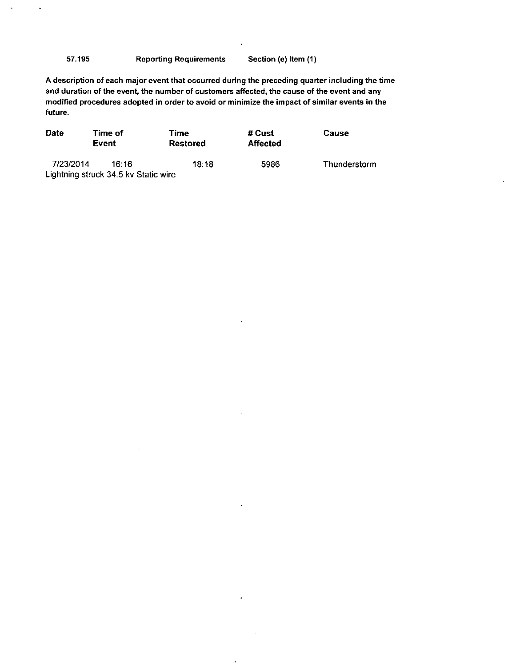57.195 Reporting Requirements Section (e) item (1)

 $\ddot{\phantom{a}}$ 

 $\ddot{\phantom{a}}$ 

A description of each major event that occurred during the preceding quarter including the time and duration of the event, the number of customers affected, the cause of the event and any modified procedures adopted in order to avoid or minimize the impact of similar events in the future.

| <b>Date</b> | Time of<br>Event                     | Time<br>Restored | # Cust<br><b>Affected</b> | <b>Cause</b> |
|-------------|--------------------------------------|------------------|---------------------------|--------------|
| 7/23/2014   | 16.16                                | 18.18            | 5986                      | Thunderstorm |
|             | Lightning struck 34.5 kv Static wire |                  |                           |              |

 $\ddot{\phantom{a}}$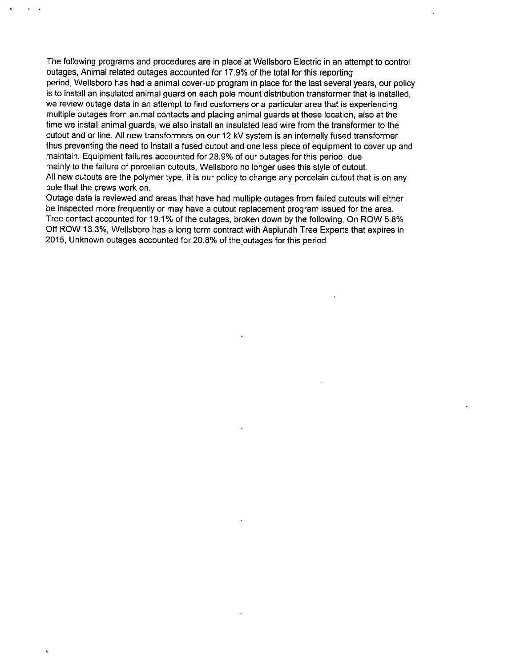The following programs and procedures are in place at Wellsboro Electric in an attempt to control outages, Animal related outages accounted for 17.9% of the total for this reporting period, Wellsboro has had a animal cover-up program in place for the last several years, our policy is to install an insulated animal guard on each pole mount distribution transformer that is installed, we review outage data in an attempt to find customers or a particular area that is experiencing multiple outages from animal contacts and placing animal guards at these location, also at the time we install animal guards, we also install an insulated lead wire from the transformer to the cutout and or line. All new transformers on our 12 kV system is an internally fused transformer thus preventing the need to install a fused cutout and one less piece of equipment to cover up and maintain, Equipment failures accounted for 28.9% of our outages for this period, due mainly to the failure of porcelian cutouts, Wellsboro no longer uses this style of cutout. All new cutouts are the polymer type, it is our policy to change any porcelain cutout that is on any pole that the crews work on.

Outage data is reviewed and areas that have had multiple outages from failed cutouts will either be inspected more frequently or may have a cutout replacement program issued for the area. Tree contact accounted for 19.1% of the outages, broken down by the following, On ROW 5.8% Off ROW 13.3%, Wellsboro has a long term contract with Asplundh Tree Experts that expires in 2015, Unknown outages accounted for 20.8% of the outages for this period.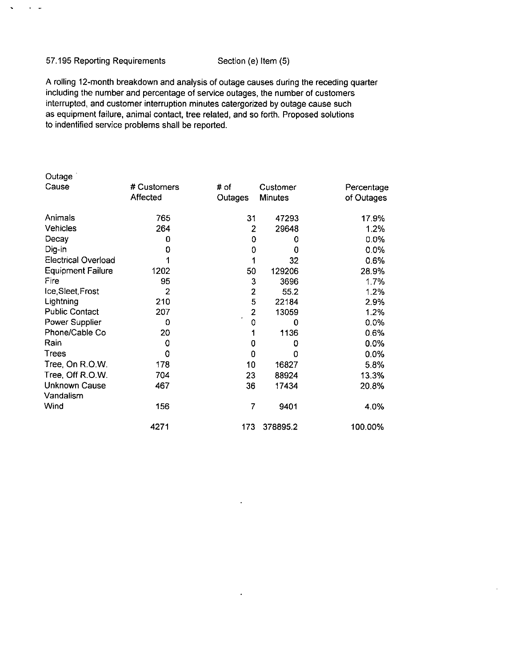#### 57.195 Reporting Requirements Section (e) Item (5)

 $\alpha$  ,  $\beta$ 

 $\sim$ 

A rolling 12-month breakdown and analysis of outage causes during the receding quarter including the number and percentage of service outages, the number of customers interrupted, and customer interruption minutes catergorized by outage cause such as equipment failure, animal contact, tree related, and so forth. Proposed solutions to indentified service problems shall be reported.

| Outage                     |                |                |          |            |
|----------------------------|----------------|----------------|----------|------------|
| Cause                      | # Customers    | # of           | Customer | Percentage |
|                            | Affected       | Outages        | Minutes  | of Outages |
| Animals                    | 765            | 31             | 47293    | 17.9%      |
| Vehicles                   | 264            | 2              | 29648    | 1.2%       |
| Decay                      | 0              | 0              | 0        | $0.0\%$    |
| Dig-in                     | 0              | 0              | 0        | 0.0%       |
| <b>Electrical Overload</b> |                |                | 32       | 0.6%       |
| <b>Equipment Failure</b>   | 1202           | 50             | 129206   | 28.9%      |
| Fire                       | 95             | 3              | 3696     | 1.7%       |
| Ice, Sleet, Frost          | $\overline{2}$ | $\overline{2}$ | 55.2     | 1.2%       |
| Lightning                  | 210            | 5              | 22184    | 2.9%       |
| <b>Public Contact</b>      | 207            | $\overline{2}$ | 13059    | 1.2%       |
| Power Supplier             | 0              | 0              | 0        | 0.0%       |
| Phone/Cable Co             | 20             |                | 1136     | 0.6%       |
| Rain                       | 0              | 0              | 0        | 0.0%       |
| Trees                      | 0              | 0              | 0        | 0.0%       |
| Tree, On R.O.W.            | 178            | 10             | 16827    | 5.8%       |
| Tree, Off R.O.W.           | 704            | 23             | 88924    | 13.3%      |
| <b>Unknown Cause</b>       | 467            | 36             | 17434    | 20.8%      |
| Vandalism                  |                |                |          |            |
| Wind                       | 156            | 7              | 9401     | 4.0%       |
|                            | 4271           | 173            | 378895.2 | 100.00%    |

 $\ddot{\phantom{0}}$